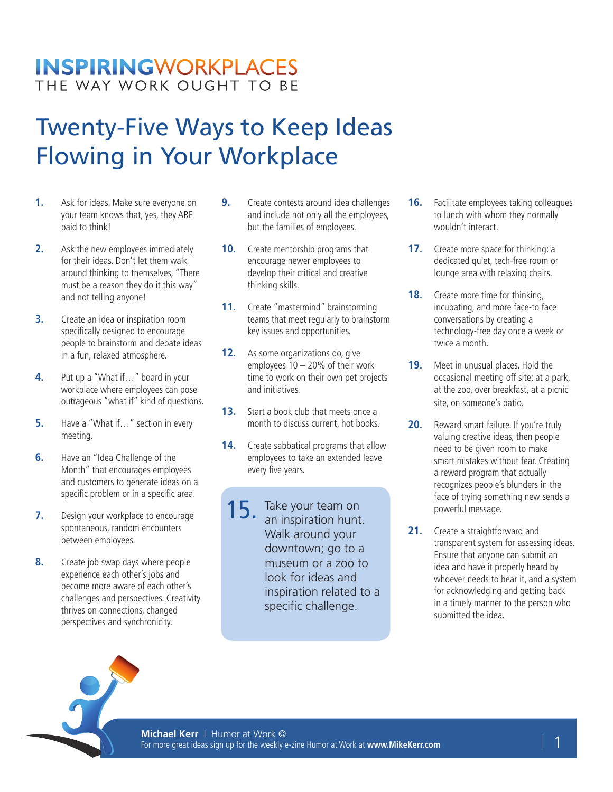### **INSPIRINGWORKPLACES** THE WAY WORK OUGHT TO BE

# Twenty-Five Ways to Keep Ideas Flowing in Your Workplace

- **1.** Ask for ideas. Make sure everyone on your team knows that, yes, they ARE paid to think!
- **2.** Ask the new employees immediately for their ideas. Don't let them walk around thinking to themselves, "There must be a reason they do it this way" and not telling anyone!
- **3.** Create an idea or inspiration room specifically designed to encourage people to brainstorm and debate ideas in a fun, relaxed atmosphere.
- **4.** Put up a "What if…" board in your workplace where employees can pose outrageous "what if" kind of questions.
- **5.** Have a "What if..." section in every meeting.
- **6.** Have an "Idea Challenge of the Month" that encourages employees and customers to generate ideas on a specific problem or in a specific area.
- **7.** Design your workplace to encourage spontaneous, random encounters between employees.
- **8.** Create job swap days where people experience each other's jobs and become more aware of each other's challenges and perspectives. Creativity thrives on connections, changed perspectives and synchronicity.
- **9.** Create contests around idea challenges and include not only all the employees, but the families of employees.
- **10.** Create mentorship programs that encourage newer employees to develop their critical and creative thinking skills.
- 11. Create "mastermind" brainstorming teams that meet regularly to brainstorm key issues and opportunities.
- 12. As some organizations do, give employees  $10 - 20\%$  of their work time to work on their own pet projects and initiatives.
- **13.** Start a book club that meets once a month to discuss current, hot books.
- 14. Create sabbatical programs that allow employees to take an extended leave every five years.
- 15. Take your team on<br>an inspiration hunt. an inspiration hunt. Walk around your downtown; go to a museum or a zoo to look for ideas and inspiration related to a specific challenge.
- **16.** Facilitate employees taking colleagues to lunch with whom they normally wouldn't interact.
- **17.** Create more space for thinking: a dedicated quiet, tech-free room or lounge area with relaxing chairs.
- **18.** Create more time for thinking, incubating, and more face-to face conversations by creating a technology-free day once a week or twice a month.
- **19.** Meet in unusual places. Hold the occasional meeting off site: at a park, at the zoo, over breakfast, at a picnic site, on someone's patio.
- **20.** Reward smart failure. If you're truly valuing creative ideas, then people need to be given room to make smart mistakes without fear. Creating a reward program that actually recognizes people's blunders in the face of trying something new sends a powerful message.
- **21.** Create a straightforward and transparent system for assessing ideas. Ensure that anyone can submit an idea and have it properly heard by whoever needs to hear it, and a system for acknowledging and getting back in a timely manner to the person who submitted the idea.